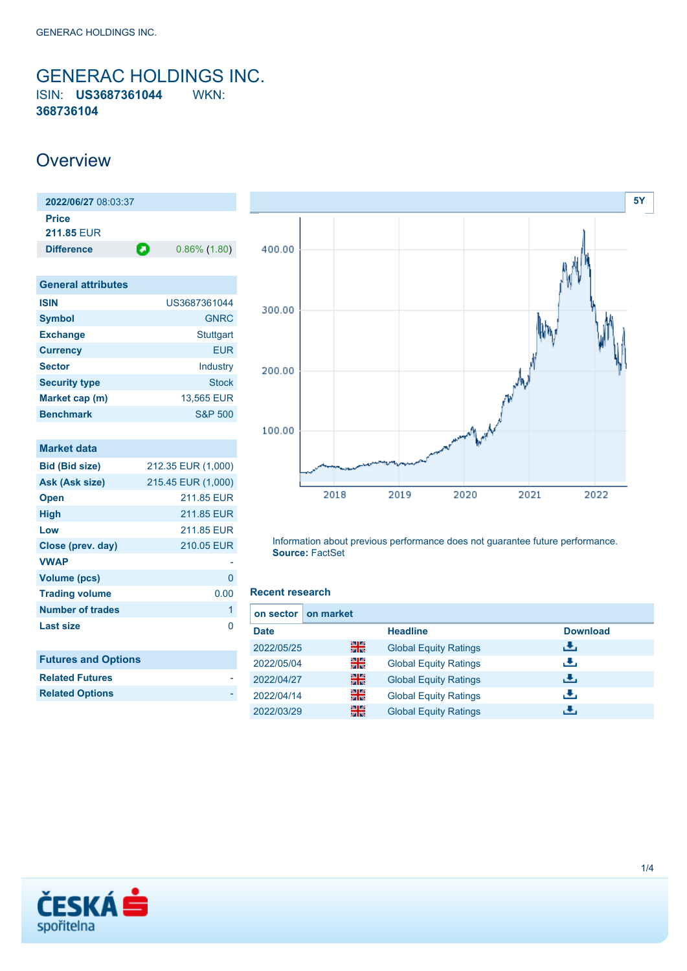<span id="page-0-0"></span>GENERAC HOLDINGS INC. ISIN: **US3687361044** WKN: **368736104**

## **Overview**

| 2022/06/27 08:03:37       |                      |
|---------------------------|----------------------|
| Price                     |                      |
| <b>211.85 EUR</b>         |                      |
| <b>Difference</b>         | Ο<br>$0.86\%$ (1.80) |
|                           |                      |
| <b>General attributes</b> |                      |
| <b>ISIN</b>               | US3687361044         |
| <b>Symbol</b>             | <b>GNRC</b>          |
| <b>Exchange</b>           | <b>Stuttgart</b>     |
| <b>Currency</b>           | <b>EUR</b>           |
| <b>Sector</b>             | Industry             |
| <b>Security type</b>      | <b>Stock</b>         |
| Market cap (m)            | 13,565 EUR           |
| <b>Benchmark</b>          | <b>S&amp;P 500</b>   |
|                           |                      |
| <b>Market data</b>        |                      |
| <b>Bid (Bid size)</b>     | 212.35 EUR (1,000)   |

| <b>Bid (Bid size)</b>      | 212.35 EUR (1,000) |
|----------------------------|--------------------|
| Ask (Ask size)             | 215.45 EUR (1,000) |
| <b>Open</b>                | 211.85 FUR         |
| <b>High</b>                | 211.85 EUR         |
| Low                        | 211.85 EUR         |
| Close (prev. day)          | 210.05 EUR         |
| <b>VWAP</b>                |                    |
| Volume (pcs)               | U                  |
| <b>Trading volume</b>      | 0.00               |
| <b>Number of trades</b>    | 1                  |
| <b>Last size</b>           | ∩                  |
|                            |                    |
| <b>Futures and Options</b> |                    |
| <b>Related Futures</b>     |                    |
| <b>Related Options</b>     |                    |



Information about previous performance does not guarantee future performance. **Source:** FactSet

#### **Recent research**

| on market<br>on sector |    |                              |                 |
|------------------------|----|------------------------------|-----------------|
| <b>Date</b>            |    | <b>Headline</b>              | <b>Download</b> |
| 2022/05/25             | 꾉쭍 | <b>Global Equity Ratings</b> | رنان            |
| 2022/05/04             | 을  | <b>Global Equity Ratings</b> | æ,              |
| 2022/04/27             | 噐  | <b>Global Equity Ratings</b> | æ,              |
| 2022/04/14             | 을  | <b>Global Equity Ratings</b> | æ,              |
| 2022/03/29             | 噐  | <b>Global Equity Ratings</b> | راق             |

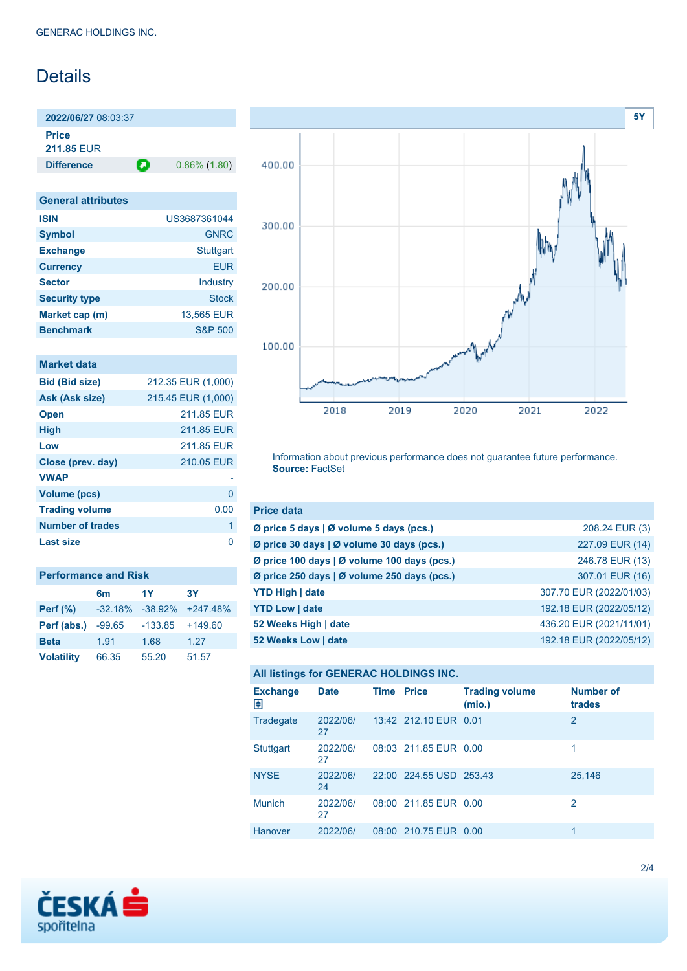## **Details**

**2022/06/27** 08:03:37 **Price**

**211.85** EUR

**Difference 0.86% (1.80)** 

| <b>General attributes</b> |                    |  |  |  |
|---------------------------|--------------------|--|--|--|
| <b>ISIN</b>               | US3687361044       |  |  |  |
| <b>Symbol</b>             | <b>GNRC</b>        |  |  |  |
| <b>Exchange</b>           | <b>Stuttgart</b>   |  |  |  |
| <b>Currency</b>           | <b>EUR</b>         |  |  |  |
| <b>Sector</b>             | Industry           |  |  |  |
| <b>Security type</b>      | <b>Stock</b>       |  |  |  |
| Market cap (m)            | 13,565 EUR         |  |  |  |
| <b>Benchmark</b>          | <b>S&amp;P 500</b> |  |  |  |

### **Market data**

| <b>Bid (Bid size)</b>   | 212.35 EUR (1,000) |
|-------------------------|--------------------|
| Ask (Ask size)          | 215.45 EUR (1,000) |
| <b>Open</b>             | 211.85 FUR         |
| <b>High</b>             | 211.85 EUR         |
| Low                     | 211.85 FUR         |
| Close (prev. day)       | 210.05 EUR         |
| <b>VWAP</b>             |                    |
| <b>Volume (pcs)</b>     | O                  |
| <b>Trading volume</b>   | 0.00               |
| <b>Number of trades</b> | 1                  |
| Last size               |                    |

| <b>Performance and Risk</b> |                |            |            |  |  |  |
|-----------------------------|----------------|------------|------------|--|--|--|
|                             | 6 <sub>m</sub> | 1Y         | <b>3Y</b>  |  |  |  |
| <b>Perf</b> (%)             | $-32.18%$      | $-38.92\%$ | $+247.48%$ |  |  |  |
| Perf (abs.)                 | $-99.65$       | $-133.85$  | $+149.60$  |  |  |  |
| <b>Beta</b>                 | 1.91           | 1.68       | 1.27       |  |  |  |
| <b>Volatility</b>           | 66.35          | 55.20      | 51.57      |  |  |  |



Information about previous performance does not guarantee future performance. **Source:** FactSet

| <b>Price data</b>                           |                         |
|---------------------------------------------|-------------------------|
| Ø price 5 days   Ø volume 5 days (pcs.)     | 208.24 EUR (3)          |
| Ø price 30 days   Ø volume 30 days (pcs.)   | 227.09 EUR (14)         |
| Ø price 100 days   Ø volume 100 days (pcs.) | 246.78 EUR (13)         |
| Ø price 250 days   Ø volume 250 days (pcs.) | 307.01 EUR (16)         |
| <b>YTD High   date</b>                      | 307.70 EUR (2022/01/03) |
| <b>YTD Low   date</b>                       | 192.18 EUR (2022/05/12) |
| 52 Weeks High   date                        | 436.20 EUR (2021/11/01) |
| 52 Weeks Low   date                         | 192.18 EUR (2022/05/12) |

#### **All listings for GENERAC HOLDINGS INC.**

| <b>Exchange</b><br>₽ | <b>Date</b>    | <b>Time Price</b> |                         | <b>Trading volume</b><br>(mio.) | <b>Number of</b><br>trades |
|----------------------|----------------|-------------------|-------------------------|---------------------------------|----------------------------|
| Tradegate            | 2022/06/<br>27 |                   | 13:42 212.10 EUR 0.01   |                                 | 2                          |
| Stuttgart            | 2022/06/<br>27 |                   | 08:03 211.85 EUR 0.00   |                                 | 1                          |
| <b>NYSE</b>          | 2022/06/<br>24 |                   | 22:00 224.55 USD 253.43 |                                 | 25,146                     |
| <b>Munich</b>        | 2022/06/<br>27 |                   | 08:00 211.85 EUR 0.00   |                                 | 2                          |
| Hanover              | 2022/06/       |                   | 08:00 210.75 EUR 0.00   |                                 | 1                          |

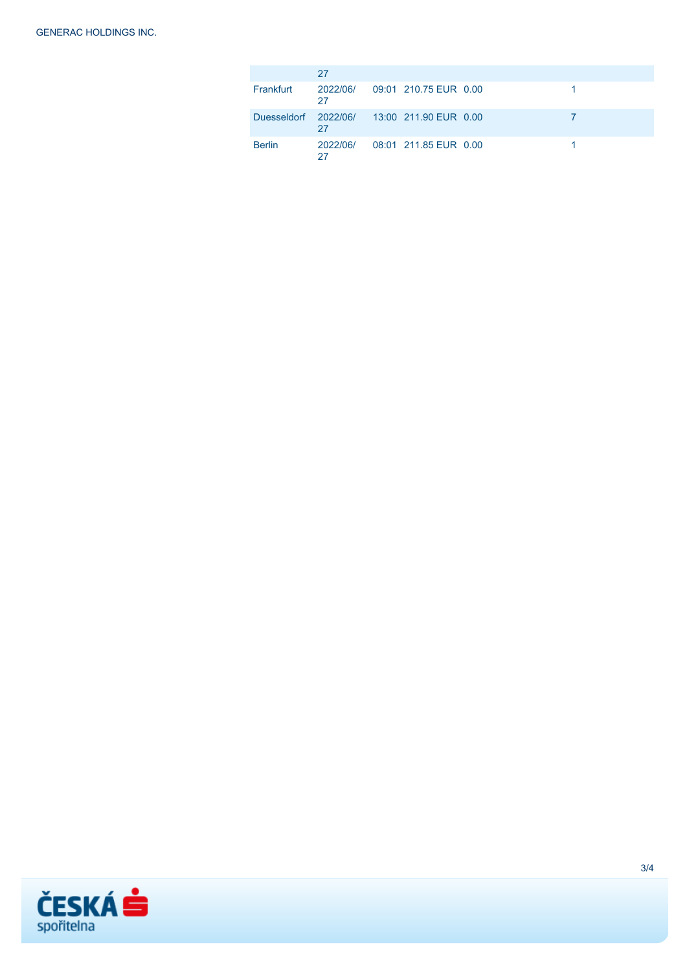|                                            | 27             |                       |  |
|--------------------------------------------|----------------|-----------------------|--|
| Frankfurt                                  | 2022/06/<br>27 | 09:01 210.75 EUR 0.00 |  |
| Duesseldorf 2022/06/ 13:00 211.90 EUR 0.00 | 27             |                       |  |
| <b>Berlin</b>                              | 2022/06/       | 08:01 211 85 FUR 0.00 |  |